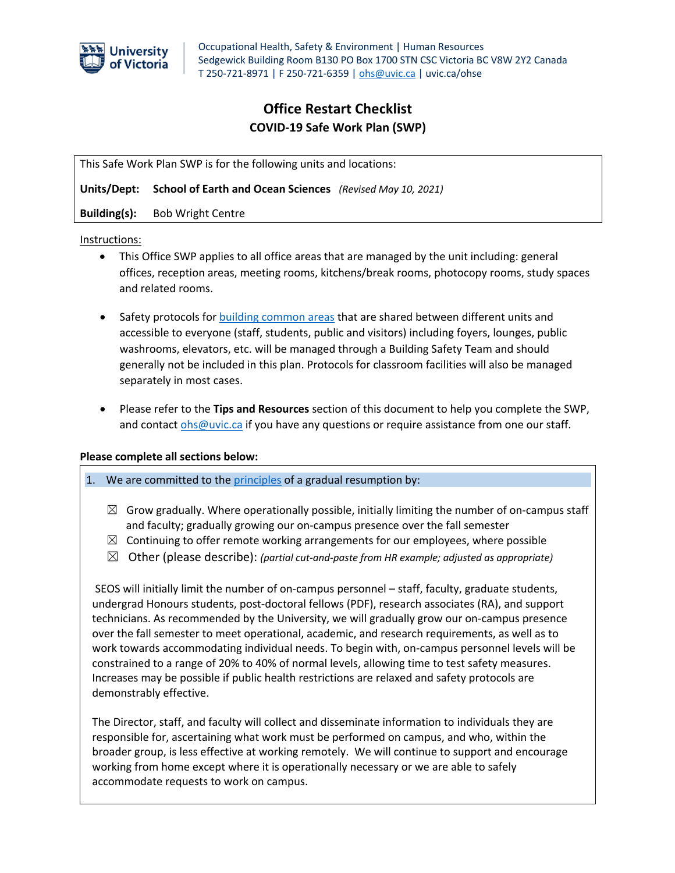

## **Office Restart Checklist COVID-19 Safe Work Plan (SWP)**

This Safe Work Plan SWP is for the following units and locations:

**Units/Dept: School of Earth and Ocean Sciences** *(Revised May 10, 2021)*

**Building(s):** Bob Wright Centre

Instructions:

- This Office SWP applies to all office areas that are managed by the unit including: general offices, reception areas, meeting rooms, kitchens/break rooms, photocopy rooms, study spaces and related rooms.
- Safety protocols for building common areas that are shared between different units and accessible to everyone (staff, students, public and visitors) including foyers, lounges, public washrooms, elevators, etc. will be managed through a Building Safety Team and should generally not be included in this plan. Protocols for classroom facilities will also be managed separately in most cases.
- Please refer to the **Tips and Resources** section of this document to help you complete the SWP, and contact ohs@uvic.ca if you have any questions or require assistance from one our staff.

#### **Please complete all sections below:**

1. We are committed to the principles of a gradual resumption by:

- $\boxtimes$  Grow gradually. Where operationally possible, initially limiting the number of on-campus staff and faculty; gradually growing our on-campus presence over the fall semester
- $\boxtimes$  Continuing to offer remote working arrangements for our employees, where possible
- ☒ Other (please describe): *(partial cut-and-paste from HR example; adjusted as appropriate)*

SEOS will initially limit the number of on-campus personnel – staff, faculty, graduate students, undergrad Honours students, post-doctoral fellows (PDF), research associates (RA), and support technicians. As recommended by the University, we will gradually grow our on-campus presence over the fall semester to meet operational, academic, and research requirements, as well as to work towards accommodating individual needs. To begin with, on-campus personnel levels will be constrained to a range of 20% to 40% of normal levels, allowing time to test safety measures. Increases may be possible if public health restrictions are relaxed and safety protocols are demonstrably effective.

The Director, staff, and faculty will collect and disseminate information to individuals they are responsible for, ascertaining what work must be performed on campus, and who, within the broader group, is less effective at working remotely. We will continue to support and encourage working from home except where it is operationally necessary or we are able to safely accommodate requests to work on campus.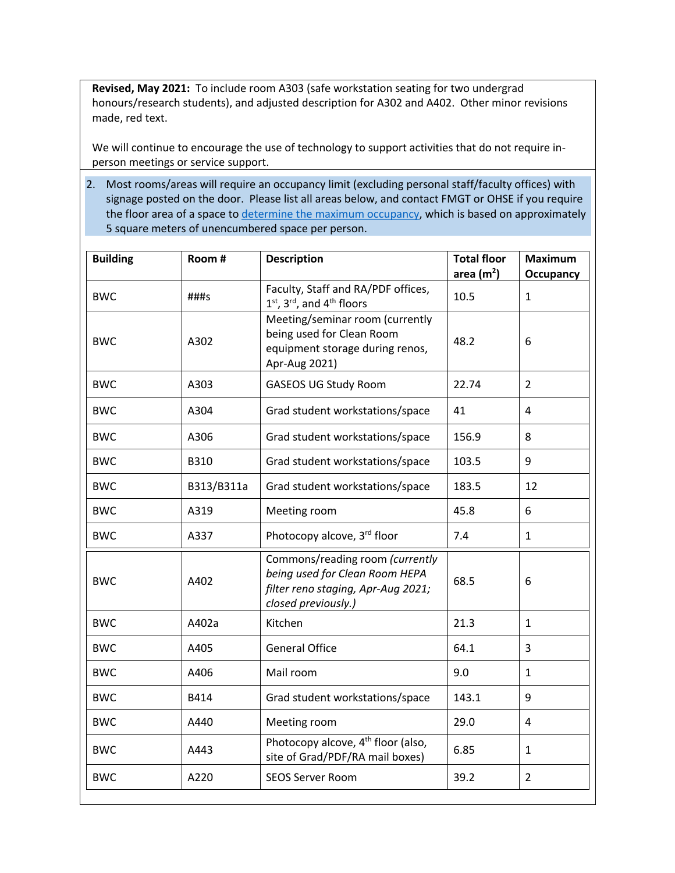**Revised, May 2021:** To include room A303 (safe workstation seating for two undergrad honours/research students), and adjusted description for A302 and A402. Other minor revisions made, red text.

We will continue to encourage the use of technology to support activities that do not require inperson meetings or service support.

2. Most rooms/areas will require an occupancy limit (excluding personal staff/faculty offices) with signage posted on the door. Please list all areas below, and contact FMGT or OHSE if you require the floor area of a space to determine the maximum occupancy, which is based on approximately 5 square meters of unencumbered space per person.

| <b>Building</b> | Room#      | <b>Description</b>                                                                                                             | <b>Total floor</b><br>area $(m2)$ | <b>Maximum</b><br><b>Occupancy</b> |
|-----------------|------------|--------------------------------------------------------------------------------------------------------------------------------|-----------------------------------|------------------------------------|
| <b>BWC</b>      | $\# \# \#$ | Faculty, Staff and RA/PDF offices,<br>$1st$ , $3rd$ , and $4th$ floors                                                         | 10.5                              | $\mathbf{1}$                       |
| <b>BWC</b>      | A302       | Meeting/seminar room (currently<br>being used for Clean Room<br>equipment storage during renos,<br>Apr-Aug 2021)               | 48.2                              | 6                                  |
| <b>BWC</b>      | A303       | <b>GASEOS UG Study Room</b>                                                                                                    | 22.74                             | $\overline{2}$                     |
| <b>BWC</b>      | A304       | Grad student workstations/space                                                                                                | 41                                | 4                                  |
| <b>BWC</b>      | A306       | Grad student workstations/space                                                                                                | 156.9                             | 8                                  |
| <b>BWC</b>      | B310       | Grad student workstations/space                                                                                                | 103.5                             | 9                                  |
| <b>BWC</b>      | B313/B311a | Grad student workstations/space                                                                                                | 183.5                             | 12                                 |
| <b>BWC</b>      | A319       | Meeting room                                                                                                                   | 45.8                              | 6                                  |
| <b>BWC</b>      | A337       | Photocopy alcove, 3rd floor                                                                                                    | 7.4                               | $\mathbf{1}$                       |
| <b>BWC</b>      | A402       | Commons/reading room (currently<br>being used for Clean Room HEPA<br>filter reno staging, Apr-Aug 2021;<br>closed previously.) | 68.5                              | 6                                  |
| <b>BWC</b>      | A402a      | Kitchen                                                                                                                        | 21.3                              | 1                                  |
| <b>BWC</b>      | A405       | <b>General Office</b>                                                                                                          | 64.1                              | 3                                  |
| <b>BWC</b>      | A406       | Mail room                                                                                                                      | 9.0                               | $\mathbf{1}$                       |
| <b>BWC</b>      | B414       | Grad student workstations/space                                                                                                | 143.1                             | 9                                  |
| <b>BWC</b>      | A440       | Meeting room                                                                                                                   | 29.0                              | $\overline{4}$                     |
| <b>BWC</b>      | A443       | Photocopy alcove, 4 <sup>th</sup> floor (also,<br>site of Grad/PDF/RA mail boxes)                                              | 6.85                              | $\mathbf{1}$                       |
| <b>BWC</b>      | A220       | <b>SEOS Server Room</b>                                                                                                        | 39.2                              | $\overline{2}$                     |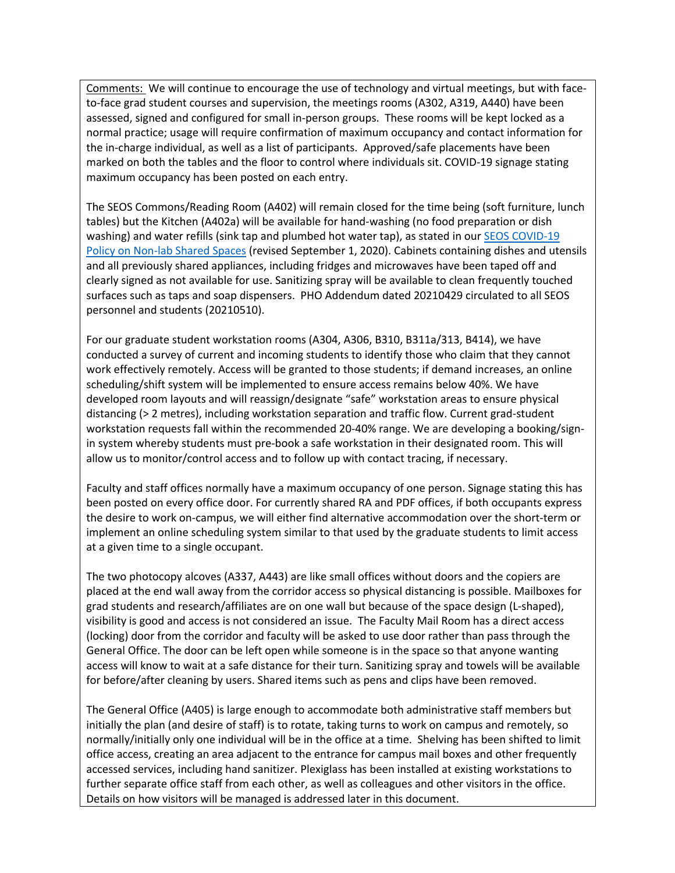Comments: We will continue to encourage the use of technology and virtual meetings, but with faceto-face grad student courses and supervision, the meetings rooms (A302, A319, A440) have been assessed, signed and configured for small in-person groups. These rooms will be kept locked as a normal practice; usage will require confirmation of maximum occupancy and contact information for the in-charge individual, as well as a list of participants. Approved/safe placements have been marked on both the tables and the floor to control where individuals sit. COVID-19 signage stating maximum occupancy has been posted on each entry.

The SEOS Commons/Reading Room (A402) will remain closed for the time being (soft furniture, lunch tables) but the Kitchen (A402a) will be available for hand-washing (no food preparation or dish washing) and water refills (sink tap and plumbed hot water tap), as stated in our **SEOS COVID-19** Policy on Non-lab Shared Spaces (revised September 1, 2020). Cabinets containing dishes and utensils and all previously shared appliances, including fridges and microwaves have been taped off and clearly signed as not available for use. Sanitizing spray will be available to clean frequently touched surfaces such as taps and soap dispensers. PHO Addendum dated 20210429 circulated to all SEOS personnel and students (20210510).

For our graduate student workstation rooms (A304, A306, B310, B311a/313, B414), we have conducted a survey of current and incoming students to identify those who claim that they cannot work effectively remotely. Access will be granted to those students; if demand increases, an online scheduling/shift system will be implemented to ensure access remains below 40%. We have developed room layouts and will reassign/designate "safe" workstation areas to ensure physical distancing (> 2 metres), including workstation separation and traffic flow. Current grad-student workstation requests fall within the recommended 20-40% range. We are developing a booking/signin system whereby students must pre-book a safe workstation in their designated room. This will allow us to monitor/control access and to follow up with contact tracing, if necessary.

Faculty and staff offices normally have a maximum occupancy of one person. Signage stating this has been posted on every office door. For currently shared RA and PDF offices, if both occupants express the desire to work on-campus, we will either find alternative accommodation over the short-term or implement an online scheduling system similar to that used by the graduate students to limit access at a given time to a single occupant.

The two photocopy alcoves (A337, A443) are like small offices without doors and the copiers are placed at the end wall away from the corridor access so physical distancing is possible. Mailboxes for grad students and research/affiliates are on one wall but because of the space design (L-shaped), visibility is good and access is not considered an issue. The Faculty Mail Room has a direct access (locking) door from the corridor and faculty will be asked to use door rather than pass through the General Office. The door can be left open while someone is in the space so that anyone wanting access will know to wait at a safe distance for their turn. Sanitizing spray and towels will be available for before/after cleaning by users. Shared items such as pens and clips have been removed.

The General Office (A405) is large enough to accommodate both administrative staff members but initially the plan (and desire of staff) is to rotate, taking turns to work on campus and remotely, so normally/initially only one individual will be in the office at a time. Shelving has been shifted to limit office access, creating an area adjacent to the entrance for campus mail boxes and other frequently accessed services, including hand sanitizer. Plexiglass has been installed at existing workstations to further separate office staff from each other, as well as colleagues and other visitors in the office. Details on how visitors will be managed is addressed later in this document.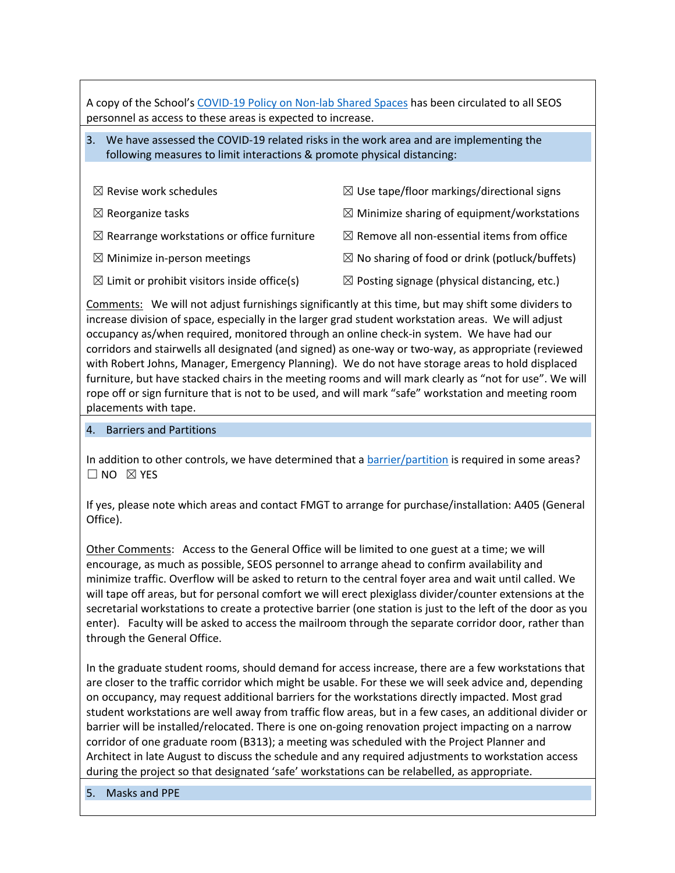A copy of the School's COVID-19 Policy on Non-lab Shared Spaces has been circulated to all SEOS personnel as access to these areas is expected to increase.

## 3. We have assessed the COVID-19 related risks in the work area and are implementing the following measures to limit interactions & promote physical distancing:

| $\boxtimes$ Revise work schedules                       | $\boxtimes$ Use tape/floor markings/directional signs     |
|---------------------------------------------------------|-----------------------------------------------------------|
| $\boxtimes$ Reorganize tasks                            | $\boxtimes$ Minimize sharing of equipment/workstations    |
| $\boxtimes$ Rearrange workstations or office furniture  | $\boxtimes$ Remove all non-essential items from office    |
| $\boxtimes$ Minimize in-person meetings                 | $\boxtimes$ No sharing of food or drink (potluck/buffets) |
| $\boxtimes$ Limit or prohibit visitors inside office(s) | $\boxtimes$ Posting signage (physical distancing, etc.)   |

Comments: We will not adjust furnishings significantly at this time, but may shift some dividers to increase division of space, especially in the larger grad student workstation areas. We will adjust occupancy as/when required, monitored through an online check-in system. We have had our corridors and stairwells all designated (and signed) as one-way or two-way, as appropriate (reviewed with Robert Johns, Manager, Emergency Planning). We do not have storage areas to hold displaced furniture, but have stacked chairs in the meeting rooms and will mark clearly as "not for use". We will rope off or sign furniture that is not to be used, and will mark "safe" workstation and meeting room placements with tape.

#### 4. Barriers and Partitions

In addition to other controls, we have determined that a **barrier/partition** is required in some areas?  $\square$  NO  $\boxtimes$  YES

If yes, please note which areas and contact FMGT to arrange for purchase/installation: A405 (General Office).

Other Comments: Access to the General Office will be limited to one guest at a time; we will encourage, as much as possible, SEOS personnel to arrange ahead to confirm availability and minimize traffic. Overflow will be asked to return to the central foyer area and wait until called. We will tape off areas, but for personal comfort we will erect plexiglass divider/counter extensions at the secretarial workstations to create a protective barrier (one station is just to the left of the door as you enter). Faculty will be asked to access the mailroom through the separate corridor door, rather than through the General Office.

In the graduate student rooms, should demand for access increase, there are a few workstations that are closer to the traffic corridor which might be usable. For these we will seek advice and, depending on occupancy, may request additional barriers for the workstations directly impacted. Most grad student workstations are well away from traffic flow areas, but in a few cases, an additional divider or barrier will be installed/relocated. There is one on-going renovation project impacting on a narrow corridor of one graduate room (B313); a meeting was scheduled with the Project Planner and Architect in late August to discuss the schedule and any required adjustments to workstation access during the project so that designated 'safe' workstations can be relabelled, as appropriate.

5. Masks and PPE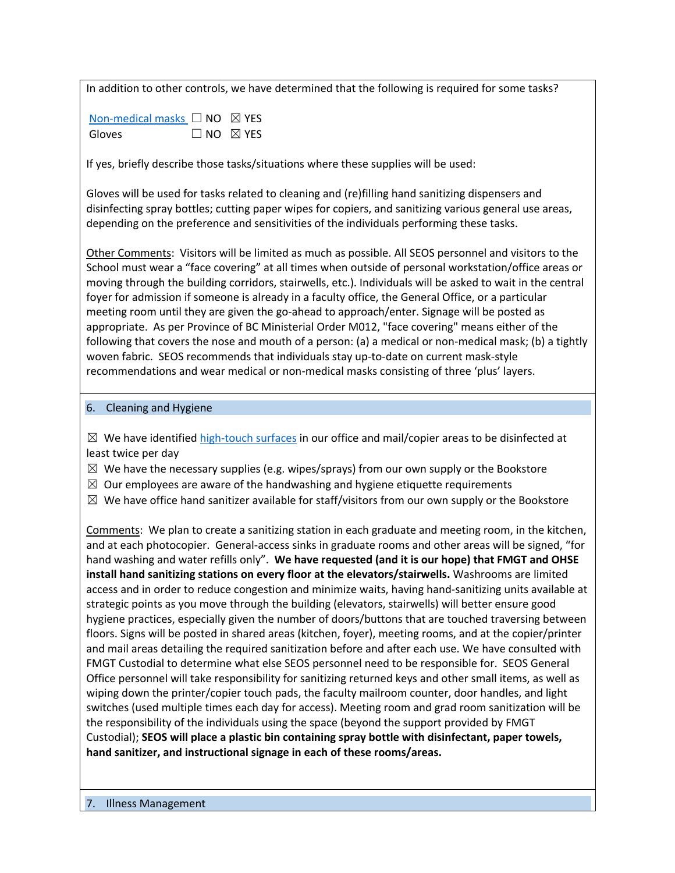In addition to other controls, we have determined that the following is required for some tasks?

| Non-medical masks $\Box$ NO $\boxtimes$ YES |                           |
|---------------------------------------------|---------------------------|
| Gloves                                      | $\Box$ NO $\boxtimes$ YES |

If yes, briefly describe those tasks/situations where these supplies will be used:

Gloves will be used for tasks related to cleaning and (re)filling hand sanitizing dispensers and disinfecting spray bottles; cutting paper wipes for copiers, and sanitizing various general use areas, depending on the preference and sensitivities of the individuals performing these tasks.

Other Comments: Visitors will be limited as much as possible. All SEOS personnel and visitors to the School must wear a "face covering" at all times when outside of personal workstation/office areas or moving through the building corridors, stairwells, etc.). Individuals will be asked to wait in the central foyer for admission if someone is already in a faculty office, the General Office, or a particular meeting room until they are given the go-ahead to approach/enter. Signage will be posted as appropriate. As per Province of BC Ministerial Order M012, "face covering" means either of the following that covers the nose and mouth of a person: (a) a medical or non-medical mask; (b) a tightly woven fabric. SEOS recommends that individuals stay up-to-date on current mask-style recommendations and wear medical or non-medical masks consisting of three 'plus' layers.

#### 6. Cleaning and Hygiene

 $\boxtimes$  We have identified high-touch surfaces in our office and mail/copier areas to be disinfected at least twice per day

 $\boxtimes$  We have the necessary supplies (e.g. wipes/sprays) from our own supply or the Bookstore

 $\boxtimes$  Our employees are aware of the handwashing and hygiene etiquette requirements

 $\boxtimes$  We have office hand sanitizer available for staff/visitors from our own supply or the Bookstore

Comments: We plan to create a sanitizing station in each graduate and meeting room, in the kitchen, and at each photocopier. General-access sinks in graduate rooms and other areas will be signed, "for hand washing and water refills only". **We have requested (and it is our hope) that FMGT and OHSE install hand sanitizing stations on every floor at the elevators/stairwells.** Washrooms are limited access and in order to reduce congestion and minimize waits, having hand-sanitizing units available at strategic points as you move through the building (elevators, stairwells) will better ensure good hygiene practices, especially given the number of doors/buttons that are touched traversing between floors. Signs will be posted in shared areas (kitchen, foyer), meeting rooms, and at the copier/printer and mail areas detailing the required sanitization before and after each use. We have consulted with FMGT Custodial to determine what else SEOS personnel need to be responsible for. SEOS General Office personnel will take responsibility for sanitizing returned keys and other small items, as well as wiping down the printer/copier touch pads, the faculty mailroom counter, door handles, and light switches (used multiple times each day for access). Meeting room and grad room sanitization will be the responsibility of the individuals using the space (beyond the support provided by FMGT Custodial); **SEOS will place a plastic bin containing spray bottle with disinfectant, paper towels, hand sanitizer, and instructional signage in each of these rooms/areas.**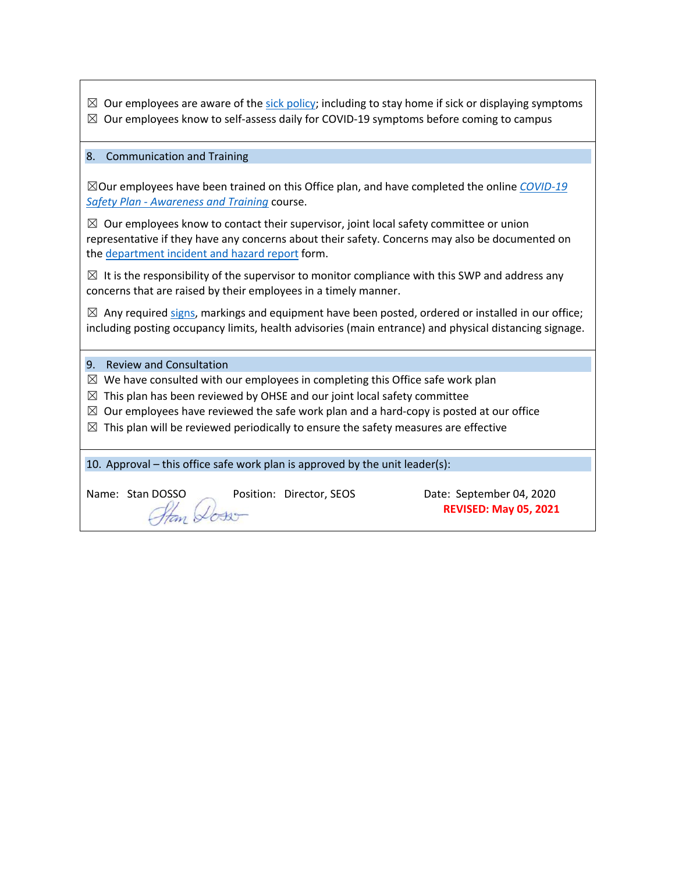| $\boxtimes$ Our employees are aware of the sick policy; including to stay home if sick or displaying symptoms<br>Our employees know to self-assess daily for COVID-19 symptoms before coming to campus<br>$\boxtimes$                                   |  |  |  |  |
|---------------------------------------------------------------------------------------------------------------------------------------------------------------------------------------------------------------------------------------------------------|--|--|--|--|
| 8.<br><b>Communication and Training</b>                                                                                                                                                                                                                 |  |  |  |  |
| $\boxtimes$ Our employees have been trained on this Office plan, and have completed the online COVID-19<br>Safety Plan - Awareness and Training course.                                                                                                 |  |  |  |  |
| $\boxtimes$ Our employees know to contact their supervisor, joint local safety committee or union<br>representative if they have any concerns about their safety. Concerns may also be documented on<br>the department incident and hazard report form. |  |  |  |  |
| $\boxtimes$ It is the responsibility of the supervisor to monitor compliance with this SWP and address any<br>concerns that are raised by their employees in a timely manner.                                                                           |  |  |  |  |
| $\boxtimes$ Any required signs, markings and equipment have been posted, ordered or installed in our office;<br>including posting occupancy limits, health advisories (main entrance) and physical distancing signage.                                  |  |  |  |  |
| 9.<br><b>Review and Consultation</b>                                                                                                                                                                                                                    |  |  |  |  |
| We have consulted with our employees in completing this Office safe work plan<br>$\boxtimes$                                                                                                                                                            |  |  |  |  |
| This plan has been reviewed by OHSE and our joint local safety committee<br>$\boxtimes$<br>Our employees have reviewed the safe work plan and a hard-copy is posted at our office<br>⊠                                                                  |  |  |  |  |
| $\boxtimes$ This plan will be reviewed periodically to ensure the safety measures are effective                                                                                                                                                         |  |  |  |  |
| 10. Approval – this office safe work plan is approved by the unit leader(s):                                                                                                                                                                            |  |  |  |  |
| Name: Stan DOSSO<br>Position: Director, SEOS<br>Date: September 04, 2020<br><b>REVISED: May 05, 2021</b>                                                                                                                                                |  |  |  |  |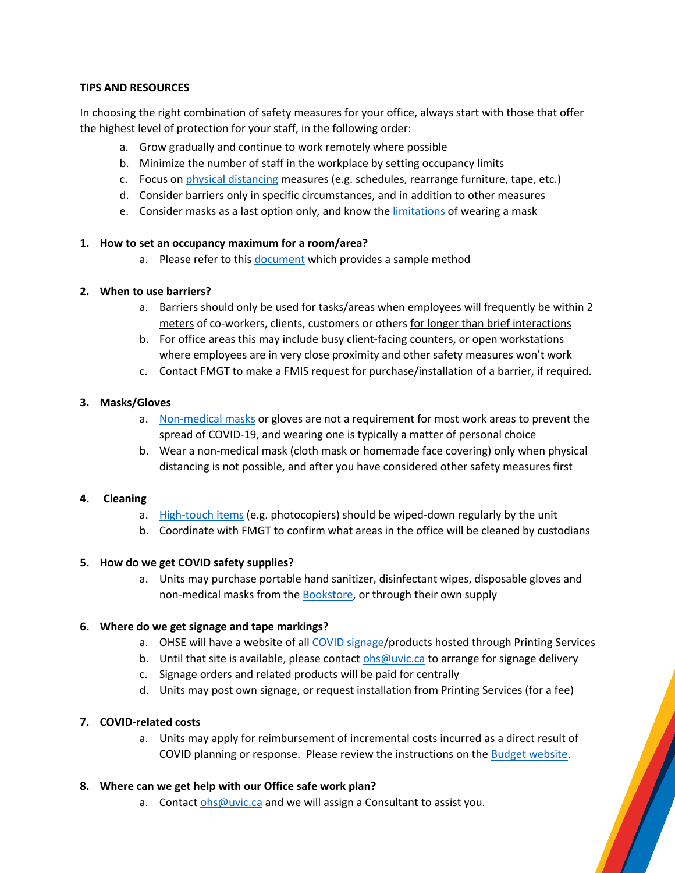## **TIPS AND RESOURCES**

In choosing the right combination of safety measures for your office, always start with those that offer the highest level of protection for your staff, in the following order:

- a. Grow gradually and continue to work remotely where possible
- b. Minimize the number of staff in the workplace by setting occupancy limits
- c. Focus on physical distancing measures (e.g. schedules, rearrange furniture, tape, etc.)
- d. Consider barriers only in specific circumstances, and in addition to other measures
- e. Consider masks as a last option only, and know the limitations of wearing a mask

#### **1. How to set an occupancy maximum for a room/area?**

a. Please refer to this document which provides a sample method

### **2. When to use barriers?**

- a. Barriers should only be used for tasks/areas when employees will frequently be within 2 meters of co-workers, clients, customers or others for longer than brief interactions
- b. For office areas this may include busy client-facing counters, or open workstations where employees are in very close proximity and other safety measures won't work
- c. Contact FMGT to make a FMIS request for purchase/installation of a barrier, if required.

### **3. Masks/Gloves**

- a. Non-medical masks or gloves are not a requirement for most work areas to prevent the spread of COVID-19, and wearing one is typically a matter of personal choice
- b. Wear a non-medical mask (cloth mask or homemade face covering) only when physical distancing is not possible, and after you have considered other safety measures first

#### **4. Cleaning**

- a. High-touch items (e.g. photocopiers) should be wiped-down regularly by the unit
- b. Coordinate with FMGT to confirm what areas in the office will be cleaned by custodians

## **5. How do we get COVID safety supplies?**

a. Units may purchase portable hand sanitizer, disinfectant wipes, disposable gloves and non-medical masks from the **Bookstore**, or through their own supply

## **6. Where do we get signage and tape markings?**

- a. OHSE will have a website of all COVID signage/products hosted through Printing Services
- b. Until that site is available, please contact ohs@uvic.ca to arrange for signage delivery
- c. Signage orders and related products will be paid for centrally
- d. Units may post own signage, or request installation from Printing Services (for a fee)

#### **7. COVID-related costs**

a. Units may apply for reimbursement of incremental costs incurred as a direct result of COVID planning or response. Please review the instructions on the Budget website.

#### **8. Where can we get help with our Office safe work plan?**

a. Contact ohs@uvic.ca and we will assign a Consultant to assist you.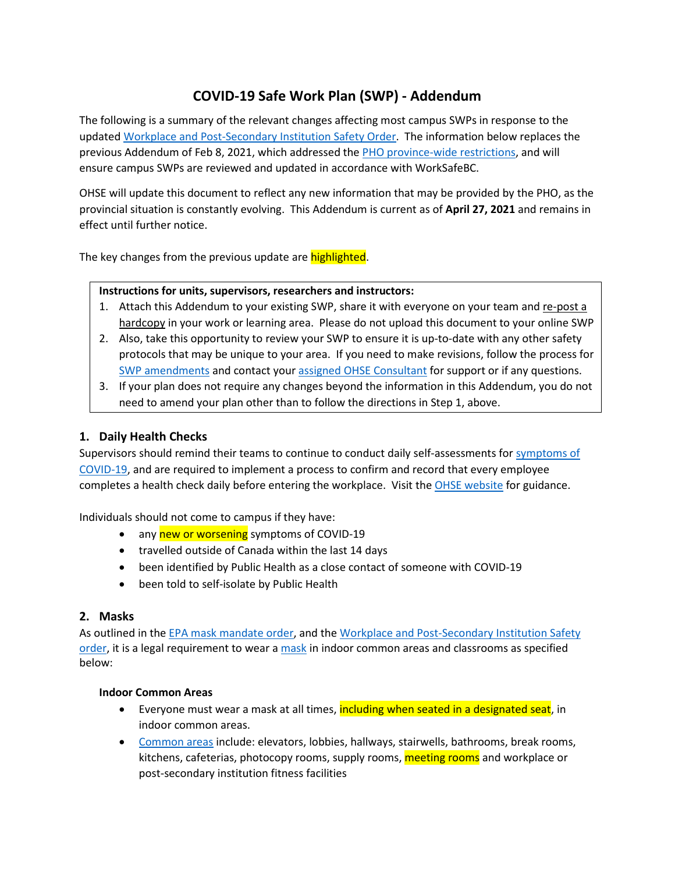# **COVID-19 Safe Work Plan (SWP) - Addendum**

The following is a summary of the relevant changes affecting most campus SWPs in response to the updated Workplace [and Post-Secondary Institution Safety](https://www2.gov.bc.ca/assets/gov/health/about-bc-s-health-care-system/office-of-the-provincial-health-officer/covid-19/covid-19-pho-order-workplace-safety.pdf) Order. The information below replaces the previous Addendum of Feb 8, 2021, which addressed the [PHO province-wide restrictions,](https://www2.gov.bc.ca/gov/content/safety/emergency-preparedness-response-recovery/covid-19-provincial-support/restrictions?utm_campaign=20201118_GCPE_AM_COVID_1_NOTIFICATION_BCGOV_BCGOV_EN_BC__NOTIFICATION&bcgovtm=20201118_GCPE_AM_COVID_1_NOTIFICATION_BCGOV_BCGOV_EN_BC__NOTIFICATION) and will ensure campus SWPs are reviewed and updated in accordance with WorkSafeBC.

OHSE will update this document to reflect any new information that may be provided by the PHO, as the provincial situation is constantly evolving. This Addendum is current as of **April 27, 2021** and remains in effect until further notice.

The key changes from the previous update are highlighted.

### **Instructions for units, supervisors, researchers and instructors:**

- 1. Attach this Addendum to your existing SWP, share it with everyone on your team and re-post a hardcopy in your work or learning area. Please do not upload this document to your online SWP
- 2. Also, take this opportunity to review your SWP to ensure it is up-to-date with any other safety protocols that may be unique to your area. If you need to make revisions, follow the process for [SWP amendments](https://www.uvic.ca/ohse/covid-19/safeworkplans/index.php) and contact your [assigned OHSE Consultant](https://www.uvic.ca/ohse/assets/docs/covid19/ohse_contacts.pdf) for support or if any questions.
- 3. If your plan does not require any changes beyond the information in this Addendum, you do not need to amend your plan other than to follow the directions in Step 1, above.

## **1. Daily Health Checks**

Supervisors should remind their teams to continue to conduct daily self-assessments for [symptoms of](http://www.bccdc.ca/health-info/diseases-conditions/covid-19/about-covid-19/symptoms)  [COVID-19,](http://www.bccdc.ca/health-info/diseases-conditions/covid-19/about-covid-19/symptoms) and are required to implement a process to confirm and record that every employee completes a health check daily before entering the workplace. Visit the [OHSE website](https://www.uvic.ca/ohse/covid-19/sickpolicy/index.php) for guidance.

Individuals should not come to campus if they have:

- any new or worsening symptoms of COVID-19
- travelled outside of Canada within the last 14 days
- been identified by Public Health as a close contact of someone with COVID-19
- been told to self-isolate by Public Health

## **2. Masks**

As outlined in the [EPA mask mandate order,](https://www.bclaws.gov.bc.ca/civix/document/id/mo/mo/m0012_2021?bcgovtm=20201118_GCPE_AM_COVID_1_NOTIFICATION_BCGOV_BCGOV_EN_BC__NOTIFICATION) and the [Workplace and Post-Secondary Institution Safety](https://www2.gov.bc.ca/assets/gov/health/about-bc-s-health-care-system/office-of-the-provincial-health-officer/covid-19/covid-19-pho-order-workplace-safety.pdf)  [order,](https://www2.gov.bc.ca/assets/gov/health/about-bc-s-health-care-system/office-of-the-provincial-health-officer/covid-19/covid-19-pho-order-workplace-safety.pdf) it is a legal requirement to wear [a mask](https://www.uvic.ca/ohse/covid-19/masksppe/index.php) in indoor common areas and classrooms as specified below:

#### **Indoor Common Areas**

- Everyone must wear a mask at all times, including when seated in a designated seat, in indoor common areas.
- [Common areas](https://www.uvic.ca/ohse/covid-19/commonareas/index.php) include: elevators, lobbies, hallways, stairwells, bathrooms, break rooms, kitchens, cafeterias, photocopy rooms, supply rooms, **meeting rooms** and workplace or post-secondary institution fitness facilities